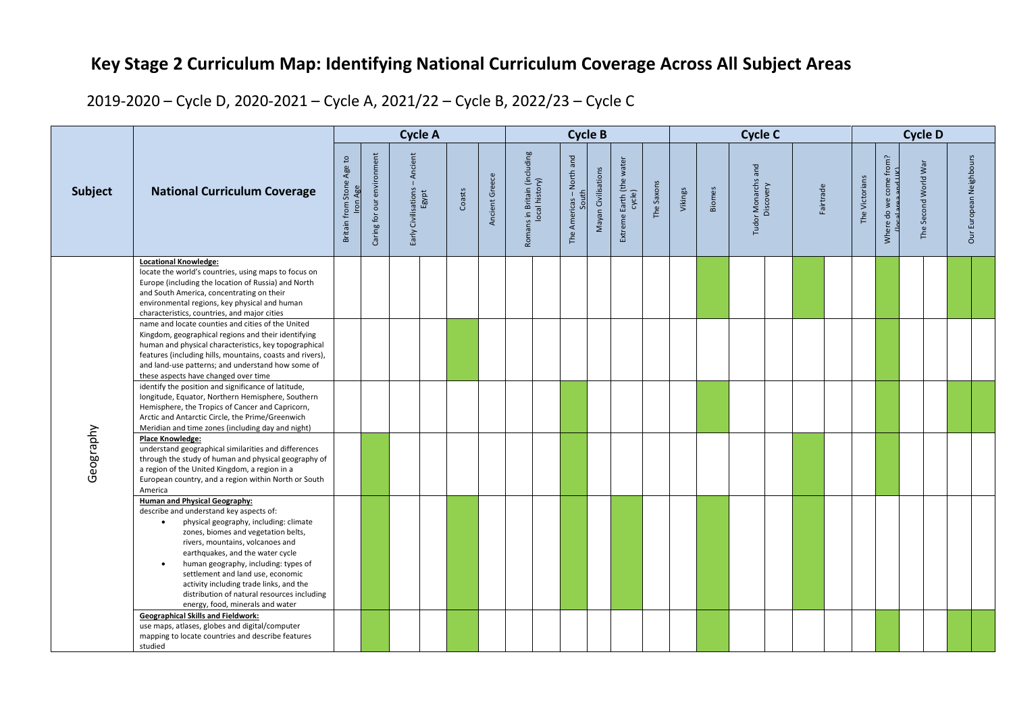## **Key Stage 2 Curriculum Map: Identifying National Curriculum Coverage Across All Subject Areas**

## 2019-2020 – Cycle D, 2020-2021 – Cycle A, 2021/22 – Cycle B, 2022/23 – Cycle C

|                |                                                                                                                                                                                                                                                                                                                                                                                                                                                     |                                 |                            | <b>Cycle A</b>                            |        |                |                                                |                                        | <b>Cycle B</b>      |                                    |            |         |               | <b>Cycle C</b>                  |           |                |                                              | <b>Cycle D</b> |                      |                         |
|----------------|-----------------------------------------------------------------------------------------------------------------------------------------------------------------------------------------------------------------------------------------------------------------------------------------------------------------------------------------------------------------------------------------------------------------------------------------------------|---------------------------------|----------------------------|-------------------------------------------|--------|----------------|------------------------------------------------|----------------------------------------|---------------------|------------------------------------|------------|---------|---------------|---------------------------------|-----------|----------------|----------------------------------------------|----------------|----------------------|-------------------------|
| <b>Subject</b> | <b>National Curriculum Coverage</b>                                                                                                                                                                                                                                                                                                                                                                                                                 | Age to<br>from Stone<br>Britain | Caring for our environment | Ancient<br>Early Civilisations -<br>Egypt | Coasts | Ancient Greece | Romans in Britain (including<br>local history) | North and<br>The Americas – N<br>South | Mayan Civilisations | Extreme Earth (the water<br>cycle) | The Saxons | Vikings | <b>Biomes</b> | Tudor Monarchs and<br>Discovery | Fairtrade | The Victorians | Where do we come from?<br>Uncal area and UK) |                | The Second World War | Our European Neighbours |
|                | <b>Locational Knowledge:</b><br>locate the world's countries, using maps to focus on<br>Europe (including the location of Russia) and North<br>and South America, concentrating on their<br>environmental regions, key physical and human<br>characteristics, countries, and major cities                                                                                                                                                           |                                 |                            |                                           |        |                |                                                |                                        |                     |                                    |            |         |               |                                 |           |                |                                              |                |                      |                         |
|                | name and locate counties and cities of the United<br>Kingdom, geographical regions and their identifying<br>human and physical characteristics, key topographical<br>features (including hills, mountains, coasts and rivers),<br>and land-use patterns; and understand how some of<br>these aspects have changed over time                                                                                                                         |                                 |                            |                                           |        |                |                                                |                                        |                     |                                    |            |         |               |                                 |           |                |                                              |                |                      |                         |
|                | identify the position and significance of latitude,<br>longitude, Equator, Northern Hemisphere, Southern<br>Hemisphere, the Tropics of Cancer and Capricorn,<br>Arctic and Antarctic Circle, the Prime/Greenwich<br>Meridian and time zones (including day and night)                                                                                                                                                                               |                                 |                            |                                           |        |                |                                                |                                        |                     |                                    |            |         |               |                                 |           |                |                                              |                |                      |                         |
| Geography      | <b>Place Knowledge:</b><br>understand geographical similarities and differences<br>through the study of human and physical geography of<br>a region of the United Kingdom, a region in a<br>European country, and a region within North or South<br>America                                                                                                                                                                                         |                                 |                            |                                           |        |                |                                                |                                        |                     |                                    |            |         |               |                                 |           |                |                                              |                |                      |                         |
|                | <b>Human and Physical Geography:</b><br>describe and understand key aspects of:<br>physical geography, including: climate<br>zones, biomes and vegetation belts,<br>rivers, mountains, volcanoes and<br>earthquakes, and the water cycle<br>human geography, including: types of<br>settlement and land use, economic<br>activity including trade links, and the<br>distribution of natural resources including<br>energy, food, minerals and water |                                 |                            |                                           |        |                |                                                |                                        |                     |                                    |            |         |               |                                 |           |                |                                              |                |                      |                         |
|                | <b>Geographical Skills and Fieldwork:</b><br>use maps, atlases, globes and digital/computer<br>mapping to locate countries and describe features<br>studied                                                                                                                                                                                                                                                                                         |                                 |                            |                                           |        |                |                                                |                                        |                     |                                    |            |         |               |                                 |           |                |                                              |                |                      |                         |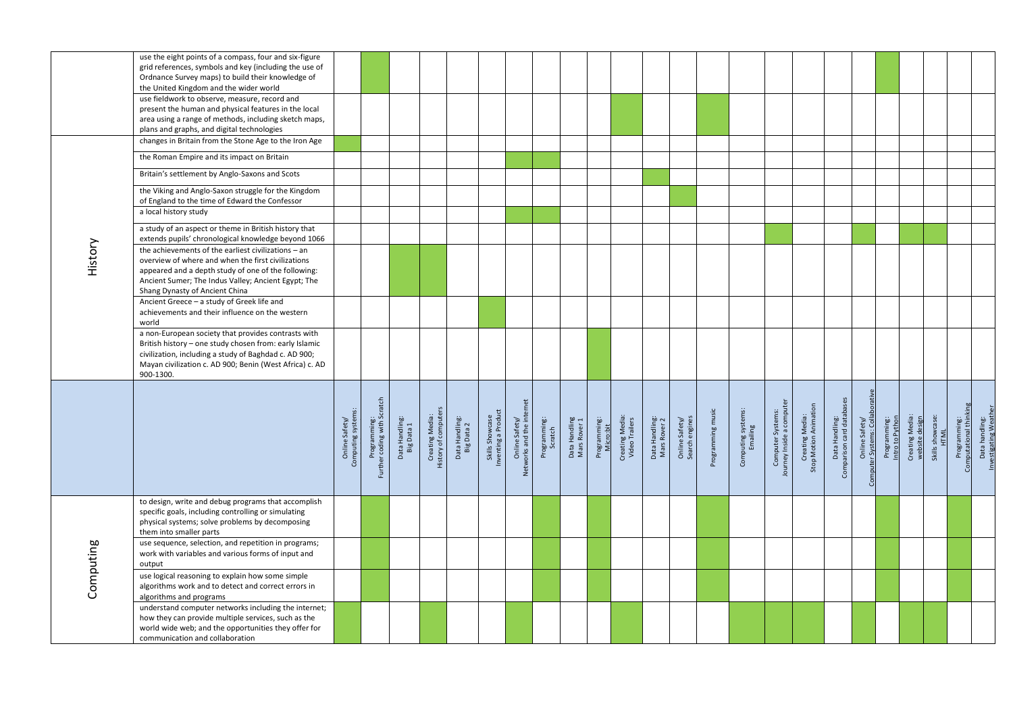|           | use the eight points of a compass, four and six-figure<br>grid references, symbols and key (including the use of<br>Ordnance Survey maps) to build their knowledge of<br>the United Kingdom and the wider world                                           |                                      |                                             |                              |                                         |                              |                                        |                                             |                         |                               |                           |                                   |                                |                                  |                   |                                |                                                |                                          |                                             |                                                   |                                 |                                   |                          |                                        |                                       |
|-----------|-----------------------------------------------------------------------------------------------------------------------------------------------------------------------------------------------------------------------------------------------------------|--------------------------------------|---------------------------------------------|------------------------------|-----------------------------------------|------------------------------|----------------------------------------|---------------------------------------------|-------------------------|-------------------------------|---------------------------|-----------------------------------|--------------------------------|----------------------------------|-------------------|--------------------------------|------------------------------------------------|------------------------------------------|---------------------------------------------|---------------------------------------------------|---------------------------------|-----------------------------------|--------------------------|----------------------------------------|---------------------------------------|
|           | use fieldwork to observe, measure, record and<br>present the human and physical features in the local<br>area using a range of methods, including sketch maps,<br>plans and graphs, and digital technologies                                              |                                      |                                             |                              |                                         |                              |                                        |                                             |                         |                               |                           |                                   |                                |                                  |                   |                                |                                                |                                          |                                             |                                                   |                                 |                                   |                          |                                        |                                       |
|           | changes in Britain from the Stone Age to the Iron Age                                                                                                                                                                                                     |                                      |                                             |                              |                                         |                              |                                        |                                             |                         |                               |                           |                                   |                                |                                  |                   |                                |                                                |                                          |                                             |                                                   |                                 |                                   |                          |                                        |                                       |
|           | the Roman Empire and its impact on Britain                                                                                                                                                                                                                |                                      |                                             |                              |                                         |                              |                                        |                                             |                         |                               |                           |                                   |                                |                                  |                   |                                |                                                |                                          |                                             |                                                   |                                 |                                   |                          |                                        |                                       |
|           | Britain's settlement by Anglo-Saxons and Scots                                                                                                                                                                                                            |                                      |                                             |                              |                                         |                              |                                        |                                             |                         |                               |                           |                                   |                                |                                  |                   |                                |                                                |                                          |                                             |                                                   |                                 |                                   |                          |                                        |                                       |
|           | the Viking and Anglo-Saxon struggle for the Kingdom<br>of England to the time of Edward the Confessor                                                                                                                                                     |                                      |                                             |                              |                                         |                              |                                        |                                             |                         |                               |                           |                                   |                                |                                  |                   |                                |                                                |                                          |                                             |                                                   |                                 |                                   |                          |                                        |                                       |
|           | a local history study                                                                                                                                                                                                                                     |                                      |                                             |                              |                                         |                              |                                        |                                             |                         |                               |                           |                                   |                                |                                  |                   |                                |                                                |                                          |                                             |                                                   |                                 |                                   |                          |                                        |                                       |
|           | a study of an aspect or theme in British history that<br>extends pupils' chronological knowledge beyond 1066                                                                                                                                              |                                      |                                             |                              |                                         |                              |                                        |                                             |                         |                               |                           |                                   |                                |                                  |                   |                                |                                                |                                          |                                             |                                                   |                                 |                                   |                          |                                        |                                       |
| History   | the achievements of the earliest civilizations - an<br>overview of where and when the first civilizations<br>appeared and a depth study of one of the following:<br>Ancient Sumer; The Indus Valley; Ancient Egypt; The<br>Shang Dynasty of Ancient China |                                      |                                             |                              |                                         |                              |                                        |                                             |                         |                               |                           |                                   |                                |                                  |                   |                                |                                                |                                          |                                             |                                                   |                                 |                                   |                          |                                        |                                       |
|           | Ancient Greece - a study of Greek life and<br>achievements and their influence on the western<br>world                                                                                                                                                    |                                      |                                             |                              |                                         |                              |                                        |                                             |                         |                               |                           |                                   |                                |                                  |                   |                                |                                                |                                          |                                             |                                                   |                                 |                                   |                          |                                        |                                       |
|           | a non-European society that provides contrasts with<br>British history - one study chosen from: early Islamic<br>civilization, including a study of Baghdad c. AD 900;<br>Mayan civilization c. AD 900; Benin (West Africa) c. AD<br>900-1300.            |                                      |                                             |                              |                                         |                              |                                        |                                             |                         |                               |                           |                                   |                                |                                  |                   |                                |                                                |                                          |                                             |                                                   |                                 |                                   |                          |                                        |                                       |
|           |                                                                                                                                                                                                                                                           | Online Safety/<br>Computing systems: | Programming:<br>Further coding with Scratch | Data Handling:<br>Big Data 1 | Creating Media:<br>History of computers | Data Handling:<br>Big Data 2 | Skills Showcase<br>Inventing a Product | Online Safety/<br>Networks and the internet | Programming:<br>Scratch | Data Handling<br>Mars Rover 1 | Programming:<br>Micro:bit | Creating Media:<br>Video Trailers | Data Handling:<br>Mars Rover 2 | Online Safety/<br>Search engines | Programming music | Computing systems:<br>Emailing | Computer Systems:<br>Journey Inside a computer | Creating Media:<br>Stop Motion Animation | Data Handling:<br>Comparison card databases | Online Safety/<br>Computer Systems: Collaborative | Programming:<br>Intro to Python | Creating Media:<br>website design | Skills showcase:<br>HTML | Programming:<br>Computational thinking | Data handling:<br>vestigating Weather |
|           | to design, write and debug programs that accomplish<br>specific goals, including controlling or simulating<br>physical systems; solve problems by decomposing<br>them into smaller parts                                                                  |                                      |                                             |                              |                                         |                              |                                        |                                             |                         |                               |                           |                                   |                                |                                  |                   |                                |                                                |                                          |                                             |                                                   |                                 |                                   |                          |                                        |                                       |
| Computing | use sequence, selection, and repetition in programs;<br>work with variables and various forms of input and<br>output                                                                                                                                      |                                      |                                             |                              |                                         |                              |                                        |                                             |                         |                               |                           |                                   |                                |                                  |                   |                                |                                                |                                          |                                             |                                                   |                                 |                                   |                          |                                        |                                       |
|           | use logical reasoning to explain how some simple<br>algorithms work and to detect and correct errors in<br>algorithms and programs                                                                                                                        |                                      |                                             |                              |                                         |                              |                                        |                                             |                         |                               |                           |                                   |                                |                                  |                   |                                |                                                |                                          |                                             |                                                   |                                 |                                   |                          |                                        |                                       |
|           | understand computer networks including the internet;<br>how they can provide multiple services, such as the<br>world wide web; and the opportunities they offer for<br>communication and collaboration                                                    |                                      |                                             |                              |                                         |                              |                                        |                                             |                         |                               |                           |                                   |                                |                                  |                   |                                |                                                |                                          |                                             |                                                   |                                 |                                   |                          |                                        |                                       |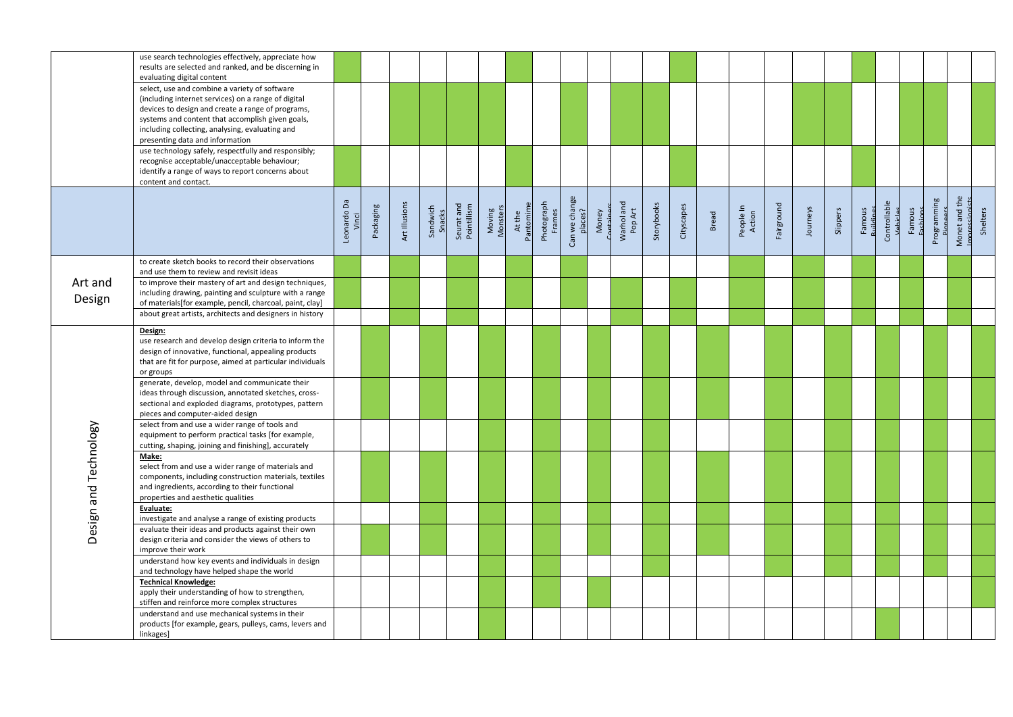|                       | use search technologies effectively, appreciate how<br>results are selected and ranked, and be discerning in<br>evaluating digital content                                                                                                                                                          |                      |           |               |                    |                           |                    |                     |                      |                          |                    |                       |            |            |              |                     |            |          |          |                            |                          |                    |                         |                                 |          |
|-----------------------|-----------------------------------------------------------------------------------------------------------------------------------------------------------------------------------------------------------------------------------------------------------------------------------------------------|----------------------|-----------|---------------|--------------------|---------------------------|--------------------|---------------------|----------------------|--------------------------|--------------------|-----------------------|------------|------------|--------------|---------------------|------------|----------|----------|----------------------------|--------------------------|--------------------|-------------------------|---------------------------------|----------|
|                       | select, use and combine a variety of software<br>(including internet services) on a range of digital<br>devices to design and create a range of programs,<br>systems and content that accomplish given goals,<br>including collecting, analysing, evaluating and<br>presenting data and information |                      |           |               |                    |                           |                    |                     |                      |                          |                    |                       |            |            |              |                     |            |          |          |                            |                          |                    |                         |                                 |          |
|                       | use technology safely, respectfully and responsibly;<br>recognise acceptable/unacceptable behaviour;<br>identify a range of ways to report concerns about<br>content and contact.                                                                                                                   |                      |           |               |                    |                           |                    |                     |                      |                          |                    |                       |            |            |              |                     |            |          |          |                            |                          |                    |                         |                                 |          |
|                       |                                                                                                                                                                                                                                                                                                     | Leonardo Da<br>Vinci | Packaging | Art Illusions | Sandwich<br>Snacks | Seurat and<br>Pointillism | Moving<br>Monsters | At the<br>Pantomime | Photograph<br>Frames | Can we change<br>places? | Money<br>Container | Warhol and<br>Pop Art | Storybooks | Cityscapes | <b>Bread</b> | People In<br>Action | Fairground | Journeys | Slippers | Famous<br><b>Buildings</b> | Controllable<br>Vehicles | Famous<br>Fachions | Programming<br>Pionaers | Monet and the<br>Impressionists | Shelters |
|                       | to create sketch books to record their observations<br>and use them to review and revisit ideas                                                                                                                                                                                                     |                      |           |               |                    |                           |                    |                     |                      |                          |                    |                       |            |            |              |                     |            |          |          |                            |                          |                    |                         |                                 |          |
| Art and<br>Design     | to improve their mastery of art and design techniques,<br>including drawing, painting and sculpture with a range<br>of materials[for example, pencil, charcoal, paint, clay]<br>about great artists, architects and designers in history                                                            |                      |           |               |                    |                           |                    |                     |                      |                          |                    |                       |            |            |              |                     |            |          |          |                            |                          |                    |                         |                                 |          |
|                       | Design:<br>use research and develop design criteria to inform the<br>design of innovative, functional, appealing products<br>that are fit for purpose, aimed at particular individuals<br>or groups                                                                                                 |                      |           |               |                    |                           |                    |                     |                      |                          |                    |                       |            |            |              |                     |            |          |          |                            |                          |                    |                         |                                 |          |
|                       | generate, develop, model and communicate their<br>ideas through discussion, annotated sketches, cross-<br>sectional and exploded diagrams, prototypes, pattern<br>pieces and computer-aided design                                                                                                  |                      |           |               |                    |                           |                    |                     |                      |                          |                    |                       |            |            |              |                     |            |          |          |                            |                          |                    |                         |                                 |          |
|                       | select from and use a wider range of tools and<br>equipment to perform practical tasks [for example,<br>cutting, shaping, joining and finishing], accurately                                                                                                                                        |                      |           |               |                    |                           |                    |                     |                      |                          |                    |                       |            |            |              |                     |            |          |          |                            |                          |                    |                         |                                 |          |
| Design and Technology | Make:<br>select from and use a wider range of materials and<br>components, including construction materials, textiles<br>and ingredients, according to their functional<br>properties and aesthetic qualities                                                                                       |                      |           |               |                    |                           |                    |                     |                      |                          |                    |                       |            |            |              |                     |            |          |          |                            |                          |                    |                         |                                 |          |
|                       | Evaluate:<br>investigate and analyse a range of existing products                                                                                                                                                                                                                                   |                      |           |               |                    |                           |                    |                     |                      |                          |                    |                       |            |            |              |                     |            |          |          |                            |                          |                    |                         |                                 |          |
|                       | evaluate their ideas and products against their own<br>design criteria and consider the views of others to<br>improve their work                                                                                                                                                                    |                      |           |               |                    |                           |                    |                     |                      |                          |                    |                       |            |            |              |                     |            |          |          |                            |                          |                    |                         |                                 |          |
|                       | understand how key events and individuals in design<br>and technology have helped shape the world                                                                                                                                                                                                   |                      |           |               |                    |                           |                    |                     |                      |                          |                    |                       |            |            |              |                     |            |          |          |                            |                          |                    |                         |                                 |          |
|                       | <b>Technical Knowledge:</b><br>apply their understanding of how to strengthen,<br>stiffen and reinforce more complex structures                                                                                                                                                                     |                      |           |               |                    |                           |                    |                     |                      |                          |                    |                       |            |            |              |                     |            |          |          |                            |                          |                    |                         |                                 |          |
|                       | understand and use mechanical systems in their<br>products [for example, gears, pulleys, cams, levers and<br>linkages]                                                                                                                                                                              |                      |           |               |                    |                           |                    |                     |                      |                          |                    |                       |            |            |              |                     |            |          |          |                            |                          |                    |                         |                                 |          |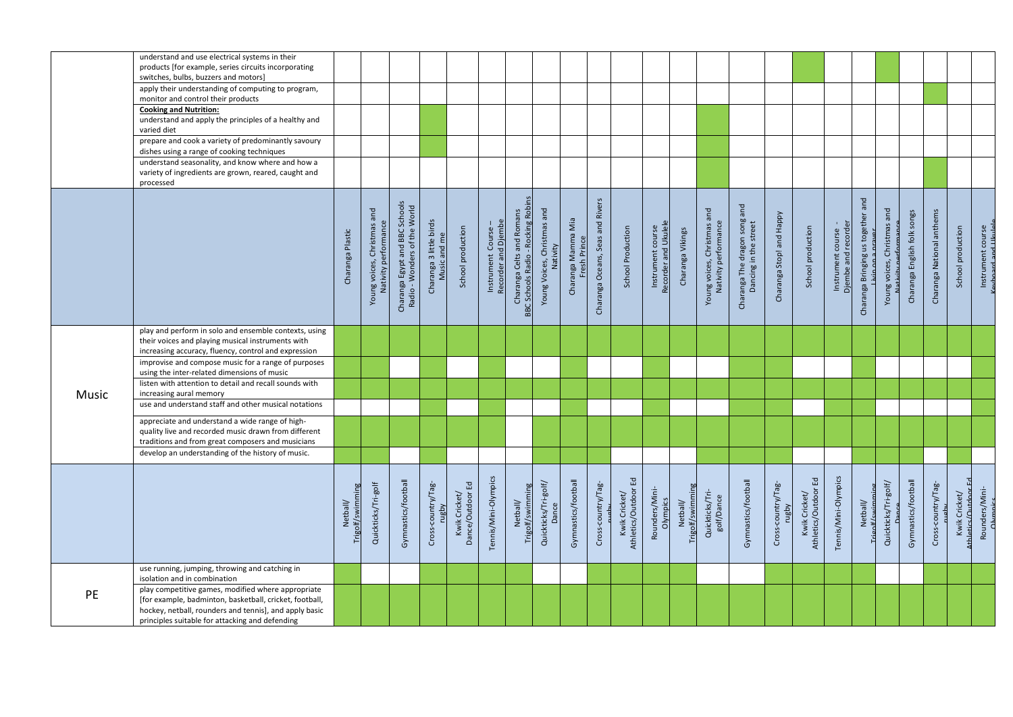|       | understand and use electrical systems in their<br>products [for example, series circuits incorporating<br>switches, bulbs, buzzers and motors]                                                                             |                              |                                                     |                                                                |                                         |                                   |                                          |                                                                 |                                         |                                    |                                  |                                               |                                           |                              |                                                     |                                                       |                             |                                             |                                        |                                                        |                                                     |                             |                             |                                    |                                            |
|-------|----------------------------------------------------------------------------------------------------------------------------------------------------------------------------------------------------------------------------|------------------------------|-----------------------------------------------------|----------------------------------------------------------------|-----------------------------------------|-----------------------------------|------------------------------------------|-----------------------------------------------------------------|-----------------------------------------|------------------------------------|----------------------------------|-----------------------------------------------|-------------------------------------------|------------------------------|-----------------------------------------------------|-------------------------------------------------------|-----------------------------|---------------------------------------------|----------------------------------------|--------------------------------------------------------|-----------------------------------------------------|-----------------------------|-----------------------------|------------------------------------|--------------------------------------------|
|       | apply their understanding of computing to program,<br>monitor and control their products                                                                                                                                   |                              |                                                     |                                                                |                                         |                                   |                                          |                                                                 |                                         |                                    |                                  |                                               |                                           |                              |                                                     |                                                       |                             |                                             |                                        |                                                        |                                                     |                             |                             |                                    |                                            |
|       | <b>Cooking and Nutrition:</b><br>understand and apply the principles of a healthy and<br>varied diet                                                                                                                       |                              |                                                     |                                                                |                                         |                                   |                                          |                                                                 |                                         |                                    |                                  |                                               |                                           |                              |                                                     |                                                       |                             |                                             |                                        |                                                        |                                                     |                             |                             |                                    |                                            |
|       | prepare and cook a variety of predominantly savoury<br>dishes using a range of cooking techniques<br>understand seasonality, and know where and how a<br>variety of ingredients are grown, reared, caught and              |                              |                                                     |                                                                |                                         |                                   |                                          |                                                                 |                                         |                                    |                                  |                                               |                                           |                              |                                                     |                                                       |                             |                                             |                                        |                                                        |                                                     |                             |                             |                                    |                                            |
|       | processed                                                                                                                                                                                                                  |                              |                                                     |                                                                |                                         |                                   |                                          |                                                                 |                                         |                                    |                                  |                                               |                                           |                              |                                                     |                                                       |                             |                                             |                                        |                                                        |                                                     |                             |                             |                                    |                                            |
|       |                                                                                                                                                                                                                            | Charanga Plastic             | Young voices, Christmas and<br>Nativity performance | Charanga Egypt and BBC Schools<br>Radio - Wonders of the World | Charanga 3 little birds<br>Music and me | School production                 | Recorder and Djembe<br>Instrument Course | Charanga Celts and Romans<br>BBC Schools Radio - Rocking Robins | Young Voices, Christmas and<br>Nativity | Charanga Mamma Mia<br>Fresh Prince | Charanga Oceans, Seas and Rivers | School Production                             | Instrument course<br>Recorder and Ukulele | Charanga Vikings             | Young voices, Christmas and<br>Nativity performance | Charanga The dragon song and<br>Dancing in the street | Charanga Stop! and Happy    | School production                           | Instrument course<br>Djembe and record | Charanga Bringing us together and<br>Livin on a prayer | Young voices, Christmas and<br>Nativity performance | Charanga English folk songs | Charanga National anthems   | School production                  | Instrument course<br>Coxhoard and Likulele |
|       | play and perform in solo and ensemble contexts, using<br>their voices and playing musical instruments with<br>increasing accuracy, fluency, control and expression                                                         |                              |                                                     |                                                                |                                         |                                   |                                          |                                                                 |                                         |                                    |                                  |                                               |                                           |                              |                                                     |                                                       |                             |                                             |                                        |                                                        |                                                     |                             |                             |                                    |                                            |
|       | improvise and compose music for a range of purposes<br>using the inter-related dimensions of music                                                                                                                         |                              |                                                     |                                                                |                                         |                                   |                                          |                                                                 |                                         |                                    |                                  |                                               |                                           |                              |                                                     |                                                       |                             |                                             |                                        |                                                        |                                                     |                             |                             |                                    |                                            |
| Music | listen with attention to detail and recall sounds with<br>increasing aural memory                                                                                                                                          |                              |                                                     |                                                                |                                         |                                   |                                          |                                                                 |                                         |                                    |                                  |                                               |                                           |                              |                                                     |                                                       |                             |                                             |                                        |                                                        |                                                     |                             |                             |                                    |                                            |
|       | use and understand staff and other musical notations                                                                                                                                                                       |                              |                                                     |                                                                |                                         |                                   |                                          |                                                                 |                                         |                                    |                                  |                                               |                                           |                              |                                                     |                                                       |                             |                                             |                                        |                                                        |                                                     |                             |                             |                                    |                                            |
|       | appreciate and understand a wide range of high-<br>quality live and recorded music drawn from different<br>traditions and from great composers and musicians<br>develop an understanding of the history of music.          |                              |                                                     |                                                                |                                         |                                   |                                          |                                                                 |                                         |                                    |                                  |                                               |                                           |                              |                                                     |                                                       |                             |                                             |                                        |                                                        |                                                     |                             |                             |                                    |                                            |
|       |                                                                                                                                                                                                                            |                              |                                                     |                                                                |                                         |                                   |                                          |                                                                 |                                         |                                    |                                  |                                               |                                           |                              |                                                     |                                                       |                             |                                             |                                        |                                                        |                                                     |                             |                             |                                    |                                            |
|       |                                                                                                                                                                                                                            | Trigolf/swimming<br>Netball/ | Quickticks/Tri-golf                                 | Gymnastics/football                                            | Cross-country/Tag-<br>rugby             | Kwik Cricket/<br>Dance/Outdoor Ed | Tennis/Mini-Olympics                     | Netball/<br>Trigolf/swimming                                    | Quickticks/Tri-golf/<br>Dance           | Gymnastics/football                | Cross-country/Tag-               | $E_{d}$<br>Athletics/Outdoor<br>Kwik Cricket/ | Rounders/Mini-<br>Olympics                | Trigolf/swimming<br>Netball/ | Quickticks/Tri-<br>golf/Dance                       | Gymnastics/football                                   | Cross-country/Tag-<br>rugby | $\Xi$<br>Athletics/Outdoor<br>Kwik Cricket/ | Tennis/Mini-Olympics                   | Netball/<br>olf/cwimm                                  | Quickticks/Tri-golf/<br>Dapce                       | Gymnastics/football         | Cross-country/Tag-<br>u abw | Kwik Cricket/<br>thlatics /Dutdoor | Rounders/Mini-<br>Olympics                 |
|       | use running, jumping, throwing and catching in<br>isolation and in combination                                                                                                                                             |                              |                                                     |                                                                |                                         |                                   |                                          |                                                                 |                                         |                                    |                                  |                                               |                                           |                              |                                                     |                                                       |                             |                                             |                                        |                                                        |                                                     |                             |                             |                                    |                                            |
| PE    | play competitive games, modified where appropriate<br>[for example, badminton, basketball, cricket, football,<br>hockey, netball, rounders and tennis], and apply basic<br>principles suitable for attacking and defending |                              |                                                     |                                                                |                                         |                                   |                                          |                                                                 |                                         |                                    |                                  |                                               |                                           |                              |                                                     |                                                       |                             |                                             |                                        |                                                        |                                                     |                             |                             |                                    |                                            |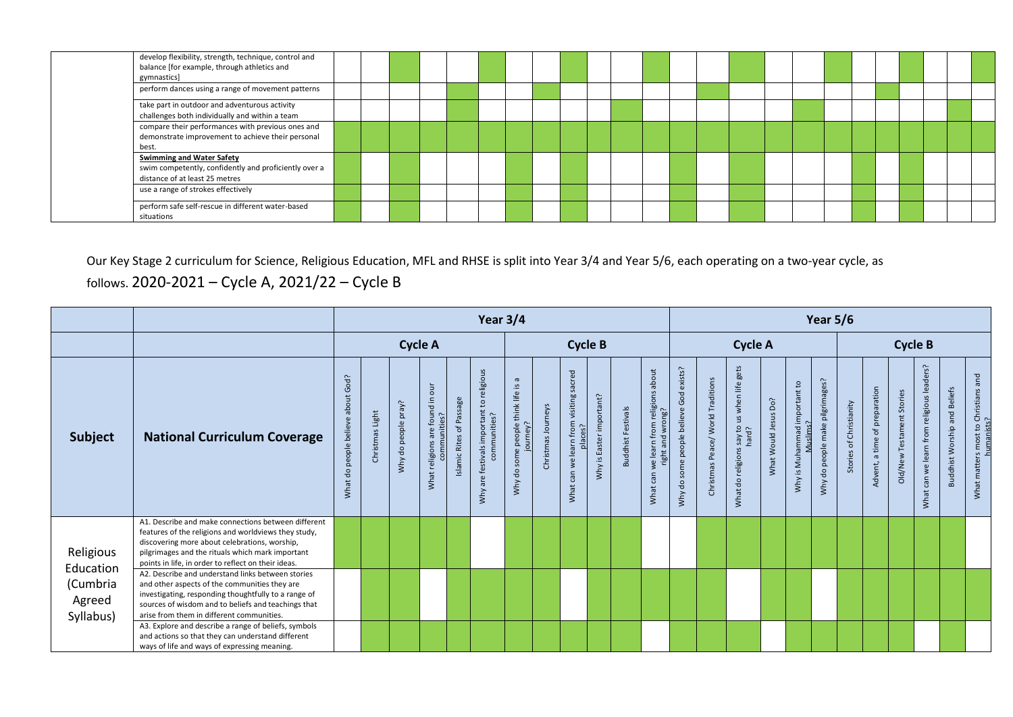| develop flexibility, strength, technique, control and<br>balance [for example, through athletics and<br>gymnastics]         |  |  |  |  |  |  |  |  |  |  |  |  |
|-----------------------------------------------------------------------------------------------------------------------------|--|--|--|--|--|--|--|--|--|--|--|--|
| perform dances using a range of movement patterns                                                                           |  |  |  |  |  |  |  |  |  |  |  |  |
| take part in outdoor and adventurous activity<br>challenges both individually and within a team                             |  |  |  |  |  |  |  |  |  |  |  |  |
| compare their performances with previous ones and<br>demonstrate improvement to achieve their personal<br>best.             |  |  |  |  |  |  |  |  |  |  |  |  |
| <b>Swimming and Water Safety</b><br>swim competently, confidently and proficiently over a<br>distance of at least 25 metres |  |  |  |  |  |  |  |  |  |  |  |  |
| use a range of strokes effectively                                                                                          |  |  |  |  |  |  |  |  |  |  |  |  |
| perform safe self-rescue in different water-based<br>situations                                                             |  |  |  |  |  |  |  |  |  |  |  |  |

Our Key Stage 2 curriculum for Science, Religious Education, MFL and RHSE is split into Year 3/4 and Year 5/6, each operating on a two-year cycle, as follows. 2020-2021 – Cycle A, 2021/22 – Cycle B

|                                              |                                                                                                                                                                                                                                                                         |                                                    |                    |                           |                                                          |                          | Year 3/4                                                                      |                                                                                                |                    |                                                      |                          |                              |                                                                                 |                                              |                                  |                                                        |                      |                                          | Year $5/6$                      |                                   |                                  |                           |                                              |                                     |                                                   |
|----------------------------------------------|-------------------------------------------------------------------------------------------------------------------------------------------------------------------------------------------------------------------------------------------------------------------------|----------------------------------------------------|--------------------|---------------------------|----------------------------------------------------------|--------------------------|-------------------------------------------------------------------------------|------------------------------------------------------------------------------------------------|--------------------|------------------------------------------------------|--------------------------|------------------------------|---------------------------------------------------------------------------------|----------------------------------------------|----------------------------------|--------------------------------------------------------|----------------------|------------------------------------------|---------------------------------|-----------------------------------|----------------------------------|---------------------------|----------------------------------------------|-------------------------------------|---------------------------------------------------|
|                                              |                                                                                                                                                                                                                                                                         |                                                    |                    |                           | <b>Cycle A</b>                                           |                          |                                                                               |                                                                                                |                    |                                                      | <b>Cycle B</b>           |                              |                                                                                 |                                              |                                  | <b>Cycle A</b>                                         |                      |                                          |                                 |                                   |                                  |                           | <b>Cycle B</b>                               |                                     |                                                   |
| Subject                                      | <b>National Curriculum Coverage</b>                                                                                                                                                                                                                                     | about God?<br>people believe<br>$\epsilon$<br>What | Light<br>Christmas | pray?<br>people<br>Why do | found in our<br>unities?<br>are<br>What religions<br>omm | Islamic Rites of Passage | religious<br>$\mathtt{S}$<br>e festivals important<br>communities?<br>Why are | $\sigma$<br>$\overline{\mathbf{S}}$<br>some people think life<br>journey?<br>$\rm ^{o}$<br>Why | Christmas Journeys | can we learn from visiting sacred<br>places?<br>What | Why is Easter important? | Festivals<br><b>Buddhist</b> | about<br>religions<br>wrong?<br>from<br>and<br>we learn<br>right<br>can<br>What | exists?<br>some people believe God<br>Why do | Christmas Peace/World Traditions | say to us when life gets<br>hard?<br>What do religions | What Would Jesus Do? | Why is Muhammad important to<br>Muslims? | Why do people make pilgrimages? | of Christianity<br><b>Stories</b> | a time of preparation<br>Advent, | Old/New Testament Stories | can we learn from religious leaders?<br>What | <b>Buddhist Worship and Beliefs</b> | What matters most to Christians and<br>humanists? |
| Religious                                    | A1. Describe and make connections between different<br>features of the religions and worldviews they study,<br>discovering more about celebrations, worship,<br>pilgrimages and the rituals which mark important<br>points in life, in order to reflect on their ideas. |                                                    |                    |                           |                                                          |                          |                                                                               |                                                                                                |                    |                                                      |                          |                              |                                                                                 |                                              |                                  |                                                        |                      |                                          |                                 |                                   |                                  |                           |                                              |                                     |                                                   |
| Education<br>(Cumbria<br>Agreed<br>Syllabus) | A2. Describe and understand links between stories<br>and other aspects of the communities they are<br>investigating, responding thoughtfully to a range of<br>sources of wisdom and to beliefs and teachings that<br>arise from them in different communities.          |                                                    |                    |                           |                                                          |                          |                                                                               |                                                                                                |                    |                                                      |                          |                              |                                                                                 |                                              |                                  |                                                        |                      |                                          |                                 |                                   |                                  |                           |                                              |                                     |                                                   |
|                                              | A3. Explore and describe a range of beliefs, symbols<br>and actions so that they can understand different<br>ways of life and ways of expressing meaning.                                                                                                               |                                                    |                    |                           |                                                          |                          |                                                                               |                                                                                                |                    |                                                      |                          |                              |                                                                                 |                                              |                                  |                                                        |                      |                                          |                                 |                                   |                                  |                           |                                              |                                     |                                                   |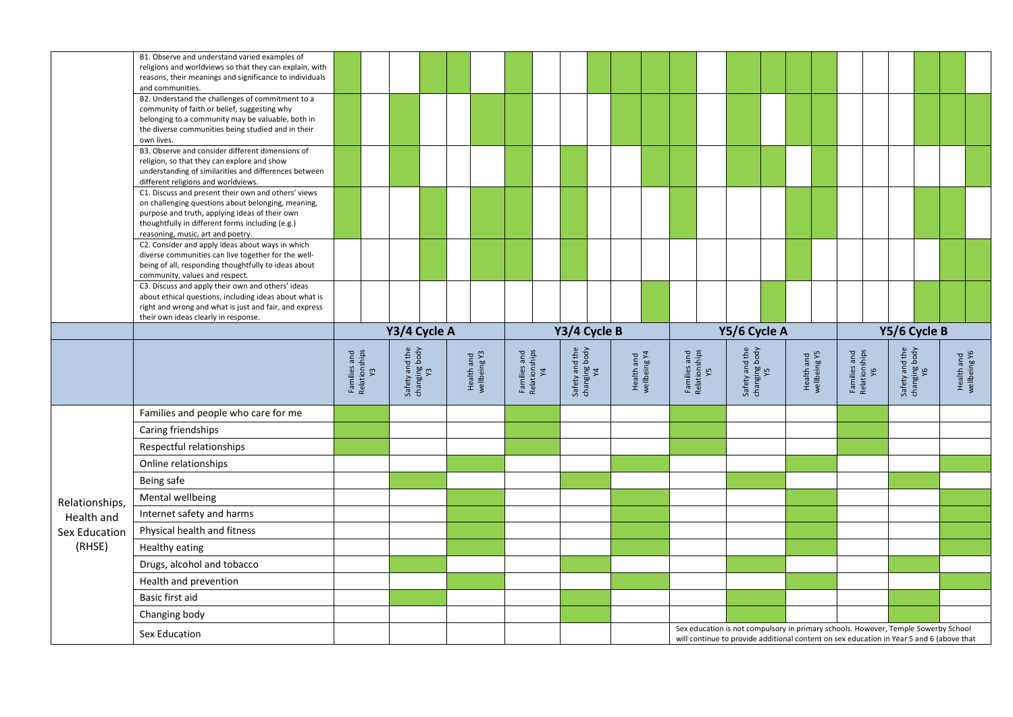|                              | B1. Observe and understand varied examples of<br>religions and worldviews so that they can explain, with<br>reasons, their meanings and significance to individuals<br>and communities.                                                              |                                     |                                       |                            |                                     |                                       |  |                            |                                     |                                       |  |                            |                               |            |                                       |                            |
|------------------------------|------------------------------------------------------------------------------------------------------------------------------------------------------------------------------------------------------------------------------------------------------|-------------------------------------|---------------------------------------|----------------------------|-------------------------------------|---------------------------------------|--|----------------------------|-------------------------------------|---------------------------------------|--|----------------------------|-------------------------------|------------|---------------------------------------|----------------------------|
|                              | B2. Understand the challenges of commitment to a<br>community of faith or belief, suggesting why<br>belonging to a community may be valuable, both in<br>the diverse communities being studied and in their<br>own lives.                            |                                     |                                       |                            |                                     |                                       |  |                            |                                     |                                       |  |                            |                               |            |                                       |                            |
|                              | B3. Observe and consider different dimensions of<br>religion, so that they can explore and show<br>understanding of similarities and differences between<br>different religions and worldviews.                                                      |                                     |                                       |                            |                                     |                                       |  |                            |                                     |                                       |  |                            |                               |            |                                       |                            |
|                              | C1. Discuss and present their own and others' views<br>on challenging questions about belonging, meaning,<br>purpose and truth, applying ideas of their own<br>thoughtfully in different forms including (e.g.)<br>reasoning, music, art and poetry. |                                     |                                       |                            |                                     |                                       |  |                            |                                     |                                       |  |                            |                               |            |                                       |                            |
|                              | C2. Consider and apply ideas about ways in which<br>diverse communities can live together for the well-<br>being of all, responding thoughtfully to ideas about<br>community, values and respect.                                                    |                                     |                                       |                            |                                     |                                       |  |                            |                                     |                                       |  |                            |                               |            |                                       |                            |
|                              | C3. Discuss and apply their own and others' ideas<br>about ethical questions, including ideas about what is<br>right and wrong and what is just and fair, and express<br>their own ideas clearly in response.                                        |                                     |                                       |                            |                                     |                                       |  |                            |                                     |                                       |  |                            |                               |            |                                       |                            |
|                              |                                                                                                                                                                                                                                                      |                                     | Y3/4 Cycle A                          |                            |                                     | Y3/4 Cycle B                          |  |                            |                                     | Y5/6 Cycle A                          |  |                            |                               |            | Y5/6 Cycle B                          |                            |
|                              |                                                                                                                                                                                                                                                      |                                     |                                       |                            |                                     |                                       |  |                            |                                     |                                       |  |                            |                               |            |                                       |                            |
|                              |                                                                                                                                                                                                                                                      | Families and<br>Relationships<br>Y3 | Safety and the<br>changing body<br>Y3 | Health and<br>wellbeing Y3 | Families and<br>Relationships<br>Y4 | Safety and the<br>changing body<br>Y4 |  | Health and<br>wellbeing Y4 | Families and<br>Relationships<br>Y5 | Safety and the<br>changing body<br>Y5 |  | Health and<br>wellbeing Y5 | Families and<br>Relationships | $\sqrt{6}$ | Safety and the<br>changing body<br>Y6 | Health and<br>wellbeing Y6 |
|                              | Families and people who care for me                                                                                                                                                                                                                  |                                     |                                       |                            |                                     |                                       |  |                            |                                     |                                       |  |                            |                               |            |                                       |                            |
|                              | Caring friendships                                                                                                                                                                                                                                   |                                     |                                       |                            |                                     |                                       |  |                            |                                     |                                       |  |                            |                               |            |                                       |                            |
|                              | Respectful relationships                                                                                                                                                                                                                             |                                     |                                       |                            |                                     |                                       |  |                            |                                     |                                       |  |                            |                               |            |                                       |                            |
|                              | Online relationships                                                                                                                                                                                                                                 |                                     |                                       |                            |                                     |                                       |  |                            |                                     |                                       |  |                            |                               |            |                                       |                            |
|                              | Being safe                                                                                                                                                                                                                                           |                                     |                                       |                            |                                     |                                       |  |                            |                                     |                                       |  |                            |                               |            |                                       |                            |
|                              | Mental wellbeing                                                                                                                                                                                                                                     |                                     |                                       |                            |                                     |                                       |  |                            |                                     |                                       |  |                            |                               |            |                                       |                            |
| Relationships,<br>Health and | Internet safety and harms                                                                                                                                                                                                                            |                                     |                                       |                            |                                     |                                       |  |                            |                                     |                                       |  |                            |                               |            |                                       |                            |
| Sex Education                | Physical health and fitness                                                                                                                                                                                                                          |                                     |                                       |                            |                                     |                                       |  |                            |                                     |                                       |  |                            |                               |            |                                       |                            |
| (RHSE)                       | Healthy eating                                                                                                                                                                                                                                       |                                     |                                       |                            |                                     |                                       |  |                            |                                     |                                       |  |                            |                               |            |                                       |                            |
|                              | Drugs, alcohol and tobacco                                                                                                                                                                                                                           |                                     |                                       |                            |                                     |                                       |  |                            |                                     |                                       |  |                            |                               |            |                                       |                            |
|                              | Health and prevention                                                                                                                                                                                                                                |                                     |                                       |                            |                                     |                                       |  |                            |                                     |                                       |  |                            |                               |            |                                       |                            |
|                              | Basic first aid                                                                                                                                                                                                                                      |                                     |                                       |                            |                                     |                                       |  |                            |                                     |                                       |  |                            |                               |            |                                       |                            |
|                              | Changing body                                                                                                                                                                                                                                        |                                     |                                       |                            |                                     |                                       |  |                            |                                     |                                       |  |                            |                               |            |                                       |                            |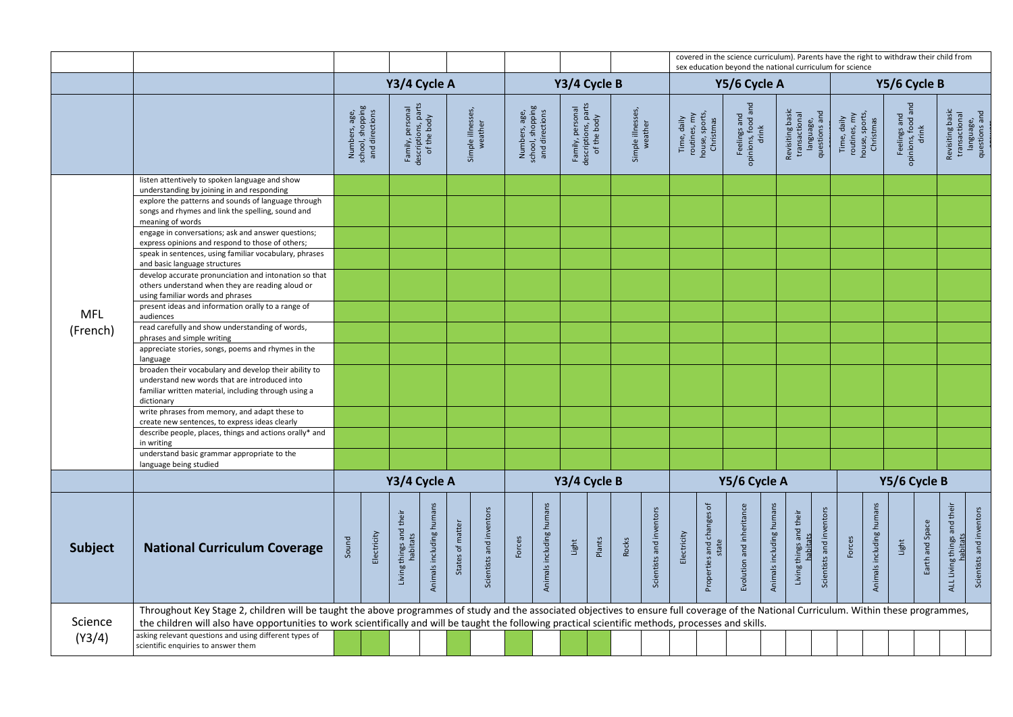|                        |                                                                                                                                                                                                                                                                                                                                                                                                                                                                                                                                                                                                                                                                                                                                                                                                                                                                                                                                                                            |                                                     |             |                                     |                                    |                  |                          |        |                                                     |                                                        |        |                   |                          |                             |                                      | covered in the science curriculum). Parents have the right to withdraw their child from<br>sex education beyond the national curriculum for science |                          |                                                |                          |                                                            |                          |                                             |                 |                                         |                                             |
|------------------------|----------------------------------------------------------------------------------------------------------------------------------------------------------------------------------------------------------------------------------------------------------------------------------------------------------------------------------------------------------------------------------------------------------------------------------------------------------------------------------------------------------------------------------------------------------------------------------------------------------------------------------------------------------------------------------------------------------------------------------------------------------------------------------------------------------------------------------------------------------------------------------------------------------------------------------------------------------------------------|-----------------------------------------------------|-------------|-------------------------------------|------------------------------------|------------------|--------------------------|--------|-----------------------------------------------------|--------------------------------------------------------|--------|-------------------|--------------------------|-----------------------------|--------------------------------------|-----------------------------------------------------------------------------------------------------------------------------------------------------|--------------------------|------------------------------------------------|--------------------------|------------------------------------------------------------|--------------------------|---------------------------------------------|-----------------|-----------------------------------------|---------------------------------------------|
|                        |                                                                                                                                                                                                                                                                                                                                                                                                                                                                                                                                                                                                                                                                                                                                                                                                                                                                                                                                                                            |                                                     |             | Y3/4 Cycle A                        |                                    |                  |                          |        |                                                     | Y3/4 Cycle B                                           |        |                   |                          |                             |                                      | Y5/6 Cycle A                                                                                                                                        |                          |                                                |                          |                                                            |                          | Y5/6 Cycle B                                |                 |                                         |                                             |
|                        |                                                                                                                                                                                                                                                                                                                                                                                                                                                                                                                                                                                                                                                                                                                                                                                                                                                                                                                                                                            | Numbers, age,<br>school, shopping<br>and directions |             | Family, personal                    | descriptions, parts<br>of the body | Simple illnesses | weather                  |        | Numbers, age,<br>school, shopping<br>and directions | Family, personal<br>descriptions, parts<br>of the body |        | Simple illnesses, | weather                  | Time, daily<br>routines, my | house, sports,<br>Christmas          | Feelings and<br>opinions, food and<br>drink                                                                                                         |                          | Revisiting basic<br>transactional<br>language, | questions and            | routines, my<br>house, sports,<br>Christmas<br>Time, daily |                          | Feelings and<br>opinions, food and<br>drink |                 | Revisiting basic                        | transactional<br>language,<br>questions and |
| <b>MFL</b><br>(French) | listen attentively to spoken language and show<br>understanding by joining in and responding<br>explore the patterns and sounds of language through<br>songs and rhymes and link the spelling, sound and<br>meaning of words<br>engage in conversations; ask and answer questions;<br>express opinions and respond to those of others;<br>speak in sentences, using familiar vocabulary, phrases<br>and basic language structures<br>develop accurate pronunciation and intonation so that<br>others understand when they are reading aloud or<br>using familiar words and phrases<br>present ideas and information orally to a range of<br>audiences<br>read carefully and show understanding of words,<br>phrases and simple writing<br>appreciate stories, songs, poems and rhymes in the<br>language<br>broaden their vocabulary and develop their ability to<br>understand new words that are introduced into<br>familiar written material, including through using a |                                                     |             |                                     |                                    |                  |                          |        |                                                     |                                                        |        |                   |                          |                             |                                      |                                                                                                                                                     |                          |                                                |                          |                                                            |                          |                                             |                 |                                         |                                             |
|                        | dictionary<br>write phrases from memory, and adapt these to<br>create new sentences, to express ideas clearly<br>describe people, places, things and actions orally* and<br>in writing<br>understand basic grammar appropriate to the<br>language being studied                                                                                                                                                                                                                                                                                                                                                                                                                                                                                                                                                                                                                                                                                                            |                                                     |             |                                     |                                    |                  |                          |        |                                                     |                                                        |        |                   |                          |                             |                                      |                                                                                                                                                     |                          |                                                |                          |                                                            |                          |                                             |                 |                                         |                                             |
|                        |                                                                                                                                                                                                                                                                                                                                                                                                                                                                                                                                                                                                                                                                                                                                                                                                                                                                                                                                                                            |                                                     |             | Y3/4 Cycle A                        |                                    |                  |                          |        |                                                     | Y3/4 Cycle B                                           |        |                   |                          |                             |                                      | Y5/6 Cycle A                                                                                                                                        |                          |                                                |                          |                                                            |                          | Y5/6 Cycle B                                |                 |                                         |                                             |
| Subject                | <b>National Curriculum Coverage</b>                                                                                                                                                                                                                                                                                                                                                                                                                                                                                                                                                                                                                                                                                                                                                                                                                                                                                                                                        | Sound                                               | Electricity | Living things and their<br>habitats | Animals including humans           | States of matter | Scientists and inventors | Forces | Animals including humans                            | Light                                                  | Plants | Rocks             | Scientists and inventors | Electricity                 | ৳<br>Properties and changes<br>state | Evolution and inheritance                                                                                                                           | Animals including humans | Living things and their<br>habitats            | Scientists and inventors | Forces                                                     | Animals including humans | Light                                       | Earth and Space | ALL Living things and their<br>habitats | Scientists and inventors                    |
| Science<br>(Y3/4)      | Throughout Key Stage 2, children will be taught the above programmes of study and the associated objectives to ensure full coverage of the National Curriculum. Within these programmes,<br>the children will also have opportunities to work scientifically and will be taught the following practical scientific methods, processes and skills.<br>asking relevant questions and using different types of<br>scientific enquiries to answer them                                                                                                                                                                                                                                                                                                                                                                                                                                                                                                                         |                                                     |             |                                     |                                    |                  |                          |        |                                                     |                                                        |        |                   |                          |                             |                                      |                                                                                                                                                     |                          |                                                |                          |                                                            |                          |                                             |                 |                                         |                                             |